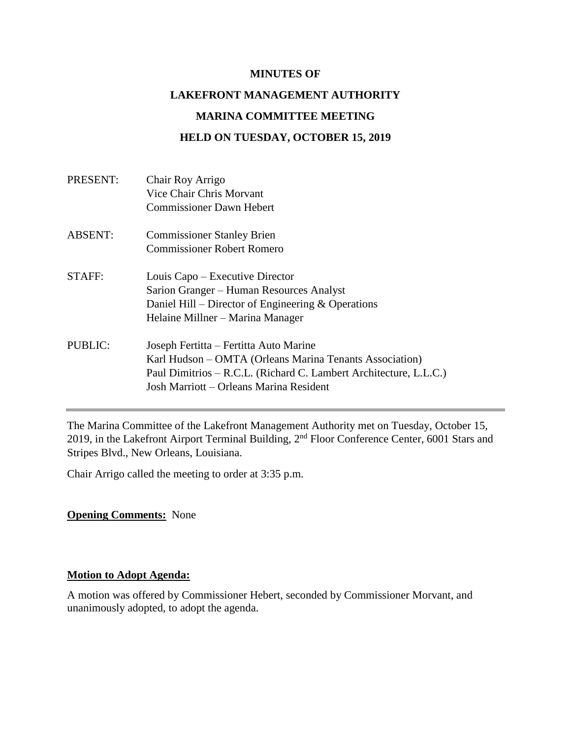#### **MINUTES OF**

# **LAKEFRONT MANAGEMENT AUTHORITY MARINA COMMITTEE MEETING HELD ON TUESDAY, OCTOBER 15, 2019**

| PRESENT:       | Chair Roy Arrigo<br>Vice Chair Chris Morvant<br><b>Commissioner Dawn Hebert</b>                                                                                                                                   |
|----------------|-------------------------------------------------------------------------------------------------------------------------------------------------------------------------------------------------------------------|
| <b>ABSENT:</b> | <b>Commissioner Stanley Brien</b><br><b>Commissioner Robert Romero</b>                                                                                                                                            |
| STAFF:         | Louis Capo – Executive Director<br>Sarion Granger – Human Resources Analyst<br>Daniel Hill – Director of Engineering $&$ Operations<br>Helaine Millner – Marina Manager                                           |
| PUBLIC:        | Joseph Fertitta – Fertitta Auto Marine<br>Karl Hudson – OMTA (Orleans Marina Tenants Association)<br>Paul Dimitrios – R.C.L. (Richard C. Lambert Architecture, L.L.C.)<br>Josh Marriott – Orleans Marina Resident |

The Marina Committee of the Lakefront Management Authority met on Tuesday, October 15, 2019, in the Lakefront Airport Terminal Building, 2nd Floor Conference Center, 6001 Stars and Stripes Blvd., New Orleans, Louisiana.

Chair Arrigo called the meeting to order at 3:35 p.m.

### **Opening Comments:** None

### **Motion to Adopt Agenda:**

A motion was offered by Commissioner Hebert, seconded by Commissioner Morvant, and unanimously adopted, to adopt the agenda.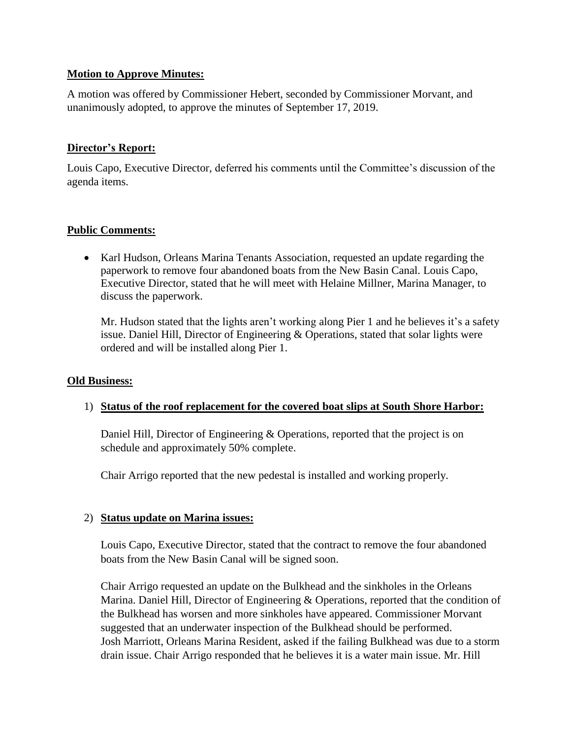## **Motion to Approve Minutes:**

A motion was offered by Commissioner Hebert, seconded by Commissioner Morvant, and unanimously adopted, to approve the minutes of September 17, 2019.

## **Director's Report:**

Louis Capo, Executive Director, deferred his comments until the Committee's discussion of the agenda items.

## **Public Comments:**

• Karl Hudson, Orleans Marina Tenants Association, requested an update regarding the paperwork to remove four abandoned boats from the New Basin Canal. Louis Capo, Executive Director, stated that he will meet with Helaine Millner, Marina Manager, to discuss the paperwork.

Mr. Hudson stated that the lights aren't working along Pier 1 and he believes it's a safety issue. Daniel Hill, Director of Engineering & Operations, stated that solar lights were ordered and will be installed along Pier 1.

### **Old Business:**

### 1) **Status of the roof replacement for the covered boat slips at South Shore Harbor:**

Daniel Hill, Director of Engineering & Operations, reported that the project is on schedule and approximately 50% complete.

Chair Arrigo reported that the new pedestal is installed and working properly.

### 2) **Status update on Marina issues:**

Louis Capo, Executive Director, stated that the contract to remove the four abandoned boats from the New Basin Canal will be signed soon.

Chair Arrigo requested an update on the Bulkhead and the sinkholes in the Orleans Marina. Daniel Hill, Director of Engineering & Operations, reported that the condition of the Bulkhead has worsen and more sinkholes have appeared. Commissioner Morvant suggested that an underwater inspection of the Bulkhead should be performed. Josh Marriott, Orleans Marina Resident, asked if the failing Bulkhead was due to a storm drain issue. Chair Arrigo responded that he believes it is a water main issue. Mr. Hill